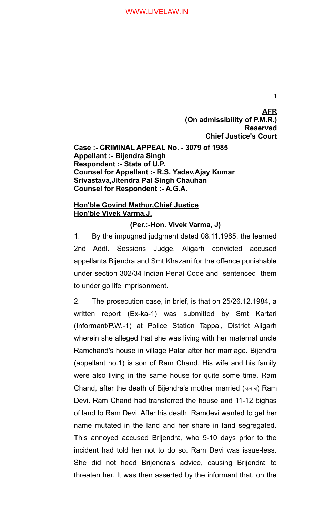**(On admissibility of P.M.R.) Reserved Chief Justice's Court Case :- CRIMINAL APPEAL No. - 3079 of 1985 Appellant :- Bijendra Singh Respondent :- State of U.P. Counsel for Appellant :- R.S. Yadav,Ajay Kumar Srivastava,Jitendra Pal Singh Chauhan Counsel for Respondent :- A.G.A.**

# **Hon'ble Govind Mathur,Chief Justice Hon'ble Vivek Varma,J.**

# **(Per.:-Hon. Vivek Varma, J)**

1. By the impugned judgment dated 08.11.1985, the learned 2nd Addl. Sessions Judge, Aligarh convicted accused appellants Bijendra and Smt Khazani for the offence punishable under section 302/34 Indian Penal Code and sentenced them to under go life imprisonment.

2. The prosecution case, in brief, is that on 25/26.12.1984, a written report (Ex-ka-1) was submitted by Smt Kartari (Informant/P.W.-1) at Police Station Tappal, District Aligarh wherein she alleged that she was living with her maternal uncle Ramchand's house in village Palar after her marriage. Bijendra (appellant no.1) is son of Ram Chand. His wife and his family were also living in the same house for quite some time. Ram Chand, after the death of Bijendra's mother married (कराब) Ram Devi. Ram Chand had transferred the house and 11-12 bighas of land to Ram Devi. After his death, Ramdevi wanted to get her name mutated in the land and her share in land segregated. This annoyed accused Brijendra, who 9-10 days prior to the incident had told her not to do so. Ram Devi was issue-less. She did not heed Brijendra's advice, causing Brijendra to threaten her. It was then asserted by the informant that, on the

1

**AFR**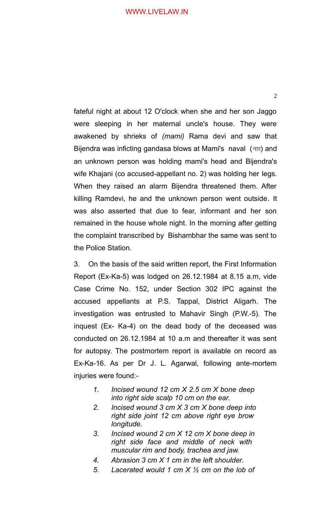fateful night at about 12 O'clock when she and her son Jaggo were sleeping in her maternal uncle's house. They were awakened by shrieks of *(mami)* Rama devi and saw that Bijendra was inficting gandasa blows at Mami's naval  $(\exists x)$  and an unknown person was holding mami's head and Bijendra's wife Khajani (co accused-appellant no. 2) was holding her legs. When they raised an alarm Bijendra threatened them. After killing Ramdevi, he and the unknown person went outside*.* It was also asserted that due to fear, informant and her son remained in the house whole night. In the morning after getting the complaint transcribed by Bishambhar the same was sent to the Police Station.

3. On the basis of the said written report, the First Information Report (Ex-Ka-5) was lodged on 26.12.1984 at 8.15 a.m, vide Case Crime No. 152, under Section 302 IPC against the accused appellants at P.S. Tappal, District Aligarh. The investigation was entrusted to Mahavir Singh (P.W.-5). The inquest (Ex- Ka-4) on the dead body of the deceased was conducted on 26.12.1984 at 10 a.m and thereafter it was sent for autopsy. The postmortem report is available on record as Ex-Ka-16. As per Dr J. L. Agarwal, following ante-mortem injuries were found:-

- *1. Incised wound 12 cm X 2.5 cm X bone deep into right side scalp 10 cm on the ear.*
- *2. Incised wound 3 cm X 3 cm X bone deep into right side joint 12 cm above right eye brow longitude.*
- *3. Incised wound 2 cm X 12 cm X bone deep in right side face and middle of neck with muscular rim and body, trachea and jaw.*
- *4. Abrasion 3 cm X 1 cm in the left shoulder.*
- *5. Lacerated would 1 cm X ½ cm on the lob of*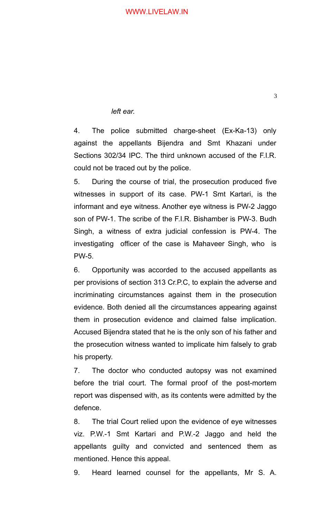### *left ear.*

4. The police submitted charge-sheet (Ex-Ka-13) only against the appellants Bijendra and Smt Khazani under Sections 302/34 IPC. The third unknown accused of the F.I.R. could not be traced out by the police.

5. During the course of trial, the prosecution produced five witnesses in support of its case. PW-1 Smt Kartari, is the informant and eye witness. Another eye witness is PW-2 Jaggo son of PW-1. The scribe of the F.I.R. Bishamber is PW-3. Budh Singh, a witness of extra judicial confession is PW-4. The investigating officer of the case is Mahaveer Singh, who is PW-5.

6. Opportunity was accorded to the accused appellants as per provisions of section 313 Cr.P.C, to explain the adverse and incriminating circumstances against them in the prosecution evidence. Both denied all the circumstances appearing against them in prosecution evidence and claimed false implication. Accused Bijendra stated that he is the only son of his father and the prosecution witness wanted to implicate him falsely to grab his property.

7. The doctor who conducted autopsy was not examined before the trial court. The formal proof of the post-mortem report was dispensed with, as its contents were admitted by the defence.

8. The trial Court relied upon the evidence of eye witnesses viz. P.W.-1 Smt Kartari and P.W.-2 Jaggo and held the appellants guilty and convicted and sentenced them as mentioned. Hence this appeal.

9. Heard learned counsel for the appellants, Mr S. A.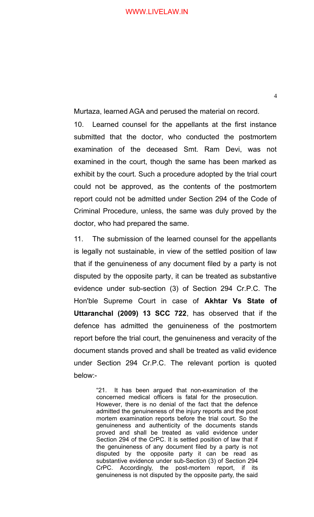Murtaza, learned AGA and perused the material on record.

10. Learned counsel for the appellants at the first instance submitted that the doctor, who conducted the postmortem examination of the deceased Smt. Ram Devi, was not examined in the court, though the same has been marked as exhibit by the court. Such a procedure adopted by the trial court could not be approved, as the contents of the postmortem report could not be admitted under Section 294 of the Code of Criminal Procedure, unless, the same was duly proved by the doctor, who had prepared the same.

11. The submission of the learned counsel for the appellants is legally not sustainable, in view of the settled position of law that if the genuineness of any document filed by a party is not disputed by the opposite party, it can be treated as substantive evidence under sub-section (3) of Section 294 Cr.P.C. The Hon'ble Supreme Court in case of **Akhtar Vs State of Uttaranchal (2009) 13 SCC 722**, has observed that if the defence has admitted the genuineness of the postmortem report before the trial court, the genuineness and veracity of the document stands proved and shall be treated as valid evidence under Section 294 Cr.P.C. The relevant portion is quoted below:-

> "21. It has been argued that non-examination of the concerned medical officers is fatal for the prosecution. However, there is no denial of the fact that the defence admitted the genuineness of the injury reports and the post mortem examination reports before the trial court. So the genuineness and authenticity of the documents stands proved and shall be treated as valid evidence under Section 294 of the CrPC. It is settled position of law that if the genuineness of any document filed by a party is not disputed by the opposite party it can be read as substantive evidence under sub-Section (3) of Section 294 CrPC. Accordingly, the post-mortem report, if its genuineness is not disputed by the opposite party, the said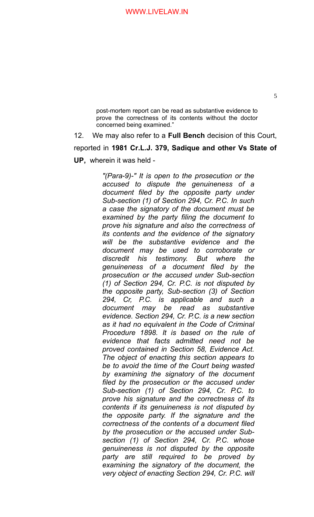post-mortem report can be read as substantive evidence to prove the correctness of its contents without the doctor concerned being examined."

12. We may also refer to a **Full Bench** decision of this Court, reported in **1981 Cr.L.J. 379, Sadique and other Vs State of UP,** wherein it was held -

> *"(Para-9)-" It is open to the prosecution or the accused to dispute the genuineness of a document filed by the opposite party under Sub-section (1) of Section 294, Cr. P.C. In such a case the signatory of the document must be examined by the party filing the document to prove his signature and also the correctness of its contents and the evidence of the signatory will be the substantive evidence and the document may be used to corroborate or discredit his testimony. But where the genuineness of a document filed by the prosecution or the accused under Sub-section (1) of Section 294, Cr. P.C. is not disputed by the opposite party, Sub-section (3) of Section 294, Cr, P.C. is applicable and such a document may be read as substantive evidence. Section 294, Cr. P.C. is a new section as it had no equivalent in the Code of Criminal Procedure 1898. It is based on the rule of evidence that facts admitted need not be proved contained in Section 58, Evidence Act. The object of enacting this section appears to be to avoid the time of the Court being wasted by examining the signatory of the document filed by the prosecution or the accused under Sub-section (1) of Section 294, Cr. P.C. to prove his signature and the correctness of its contents if its genuineness is not disputed by the opposite party. If the signature and the correctness of the contents of a document filed by the prosecution or the accused under Subsection (1) of Section 294, Cr. P.C. whose genuineness is not disputed by the opposite party are still required to be proved by examining the signatory of the document, the very object of enacting Section 294, Cr. P.C. will*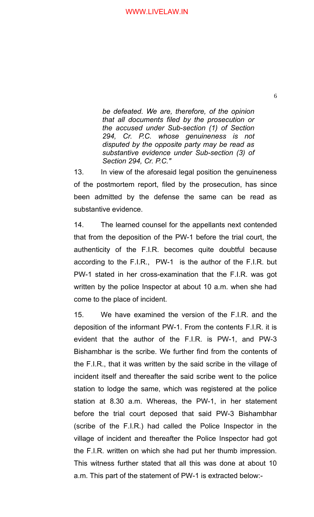*be defeated. We are, therefore, of the opinion that all documents filed by the prosecution or the accused under Sub-section (1) of Section 294, Cr. P.C. whose genuineness is not disputed by the opposite party may be read as substantive evidence under Sub-section (3) of Section 294, Cr. P.C."* 

13. In view of the aforesaid legal position the genuineness of the postmortem report, filed by the prosecution, has since been admitted by the defense the same can be read as substantive evidence.

14. The learned counsel for the appellants next contended that from the deposition of the PW-1 before the trial court, the authenticity of the F.I.R. becomes quite doubtful because according to the F.I.R., PW-1 is the author of the F.I.R. but PW-1 stated in her cross-examination that the F.I.R. was got written by the police Inspector at about 10 a.m. when she had come to the place of incident.

15. We have examined the version of the F.I.R. and the deposition of the informant PW-1. From the contents F.I.R. it is evident that the author of the F.I.R. is PW-1, and PW-3 Bishambhar is the scribe. We further find from the contents of the F.I.R., that it was written by the said scribe in the village of incident itself and thereafter the said scribe went to the police station to lodge the same, which was registered at the police station at 8.30 a.m. Whereas, the PW-1, in her statement before the trial court deposed that said PW-3 Bishambhar (scribe of the F.I.R.) had called the Police Inspector in the village of incident and thereafter the Police Inspector had got the F.I.R. written on which she had put her thumb impression. This witness further stated that all this was done at about 10 a.m. This part of the statement of PW-1 is extracted below:-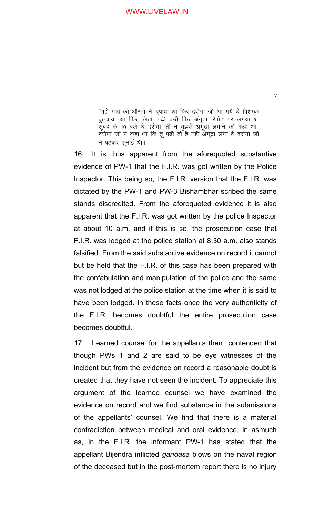"मुझे गांव की औरतों ने चुपाया था फिर दरोगा जी आ गये थे विशम्बर बुलवाया था फिर लिखा पढ़ी करी फिर अंगूठा रिर्पोट पर लगया था सुबह के 10 बजे थे दरोगा जी ने मुझसे अंगूठा लगाने को कहा था। दरोगा जी ने कहा था कि तू पढ़ी तो है नहीं अंगूठा लगा दे दरोगा जी ने पढकर सुनाई थी। "

16. It is thus apparent from the aforequoted substantive evidence of PW-1 that the F.I.R. was got written by the Police Inspector. This being so, the F.I.R. version that the F.I.R. was dictated by the PW-1 and PW-3 Bishambhar scribed the same stands discredited. From the aforequoted evidence it is also apparent that the F.I.R. was got written by the police Inspector at about 10 a.m. and if this is so, the prosecution case that F.I.R. was lodged at the police station at 8.30 a.m. also stands falsified. From the said substantive evidence on record it cannot but be held that the F.I.R. of this case has been prepared with the confabulation and manipulation of the police and the same was not lodged at the police station at the time when it is said to have been lodged. In these facts once the very authenticity of the F.I.R. becomes doubtful the entire prosecution case becomes doubtful.

17. Learned counsel for the appellants then contended that though PWs 1 and 2 are said to be eye witnesses of the incident but from the evidence on record a reasonable doubt is created that they have not seen the incident. To appreciate this argument of the learned counsel we have examined the evidence on record and we find substance in the submissions of the appellants' counsel. We find that there is a material contradiction between medical and oral evidence, in asmuch as, in the F.I.R. the informant PW-1 has stated that the appellant Bijendra inflicted *gandasa* blows on the naval region of the deceased but in the post-mortem report there is no injury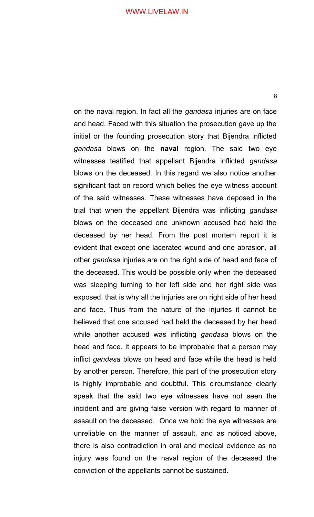8

on the naval region. In fact all the *gandasa* injuries are on face and head. Faced with this situation the prosecution gave up the initial or the founding prosecution story that Bijendra inflicted *gandasa* blows on the **naval** region. The said two eye witnesses testified that appellant Bijendra inflicted *gandasa* blows on the deceased. In this regard we also notice another significant fact on record which belies the eye witness account of the said witnesses. These witnesses have deposed in the trial that when the appellant Bijendra was inflicting *gandasa* blows on the deceased one unknown accused had held the deceased by her head. From the post mortem report it is evident that except one lacerated wound and one abrasion, all other *gandasa* injuries are on the right side of head and face of the deceased. This would be possible only when the deceased was sleeping turning to her left side and her right side was exposed, that is why all the injuries are on right side of her head and face. Thus from the nature of the injuries it cannot be believed that one accused had held the deceased by her head while another accused was inflicting *gandasa* blows on the head and face. It appears to be improbable that a person may inflict *gandasa* blows on head and face while the head is held by another person. Therefore, this part of the prosecution story is highly improbable and doubtful. This circumstance clearly speak that the said two eye witnesses have not seen the incident and are giving false version with regard to manner of assault on the deceased. Once we hold the eye witnesses are unreliable on the manner of assault, and as noticed above, there is also contradiction in oral and medical evidence as no injury was found on the naval region of the deceased the conviction of the appellants cannot be sustained.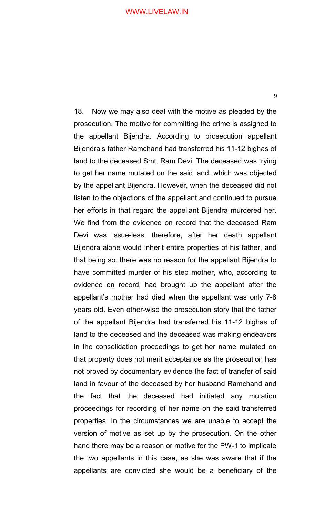9

18. Now we may also deal with the motive as pleaded by the prosecution. The motive for committing the crime is assigned to the appellant Bijendra. According to prosecution appellant Bijendra's father Ramchand had transferred his 11-12 bighas of land to the deceased Smt. Ram Devi. The deceased was trying to get her name mutated on the said land, which was objected by the appellant Bijendra. However, when the deceased did not listen to the objections of the appellant and continued to pursue her efforts in that regard the appellant Bijendra murdered her. We find from the evidence on record that the deceased Ram Devi was issue-less, therefore, after her death appellant Bijendra alone would inherit entire properties of his father, and that being so, there was no reason for the appellant Bijendra to have committed murder of his step mother, who, according to evidence on record, had brought up the appellant after the appellant's mother had died when the appellant was only 7-8 years old. Even other-wise the prosecution story that the father of the appellant Bijendra had transferred his 11-12 bighas of land to the deceased and the deceased was making endeavors in the consolidation proceedings to get her name mutated on that property does not merit acceptance as the prosecution has not proved by documentary evidence the fact of transfer of said land in favour of the deceased by her husband Ramchand and the fact that the deceased had initiated any mutation proceedings for recording of her name on the said transferred properties. In the circumstances we are unable to accept the version of motive as set up by the prosecution. On the other hand there may be a reason or motive for the PW-1 to implicate the two appellants in this case, as she was aware that if the appellants are convicted she would be a beneficiary of the